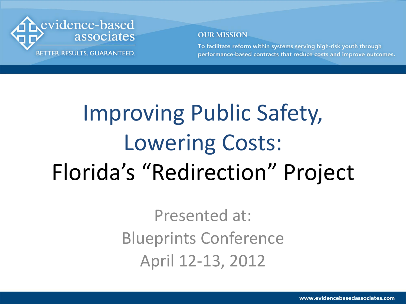

To facilitate reform within systems serving high-risk youth through performance-based contracts that reduce costs and improve outcomes.

## Improving Public Safety, Lowering Costs: Florida's "Redirection" Project

Presented at: Blueprints Conference April 12-13, 2012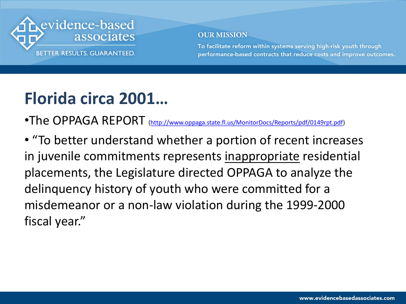

To facilitate reform within systems serving high-risk youth through performance-based contracts that reduce costs and improve outcomes.

### **Florida circa 2001…**

•The OPPAGA REPORT (<http://www.oppaga.state.fl.us/MonitorDocs/Reports/pdf/0149rpt.pdf>)

• "To better understand whether a portion of recent increases in juvenile commitments represents inappropriate residential placements, the Legislature directed OPPAGA to analyze the delinquency history of youth who were committed for a misdemeanor or a non-law violation during the 1999-2000 fiscal year."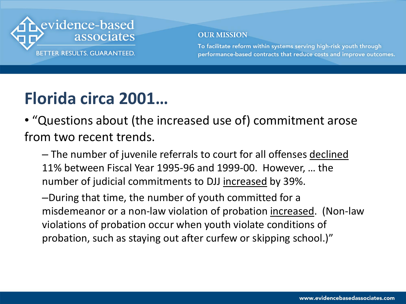

To facilitate reform within systems serving high-risk youth through performance-based contracts that reduce costs and improve outcomes.

### **Florida circa 2001…**

• "Questions about (the increased use of) commitment arose from two recent trends.

– The number of juvenile referrals to court for all offenses declined 11% between Fiscal Year 1995-96 and 1999-00. However, … the number of judicial commitments to DJJ increased by 39%.

–During that time, the number of youth committed for a misdemeanor or a non-law violation of probation increased. (Non-law violations of probation occur when youth violate conditions of probation, such as staying out after curfew or skipping school.)"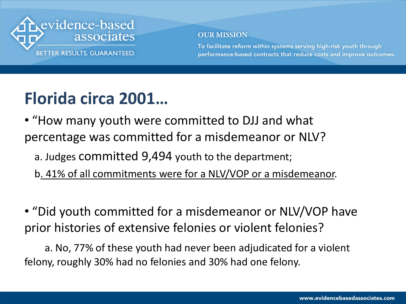

To facilitate reform within systems serving high-risk youth through performance-based contracts that reduce costs and improve outcomes.

### **Florida circa 2001…**

• "How many youth were committed to DJJ and what percentage was committed for a misdemeanor or NLV?

- a. Judges committed 9,494 youth to the department;
- b. 41% of all commitments were for a NLV/VOP or a misdemeanor.

• "Did youth committed for a misdemeanor or NLV/VOP have prior histories of extensive felonies or violent felonies?

a. No, 77% of these youth had never been adjudicated for a violent felony, roughly 30% had no felonies and 30% had one felony.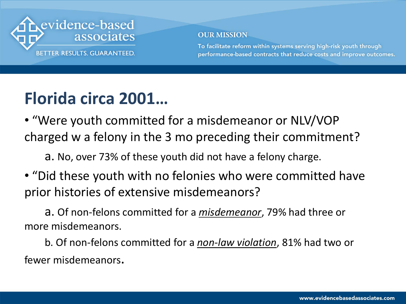

To facilitate reform within systems serving high-risk youth through performance-based contracts that reduce costs and improve outcomes.

### **Florida circa 2001…**

• "Were youth committed for a misdemeanor or NLV/VOP charged w a felony in the 3 mo preceding their commitment?

a. No, over 73% of these youth did not have a felony charge.

• "Did these youth with no felonies who were committed have prior histories of extensive misdemeanors?

a. Of non-felons committed for a *misdemeanor*, 79% had three or more misdemeanors.

b. Of non-felons committed for a *non-law violation*, 81% had two or fewer misdemeanors.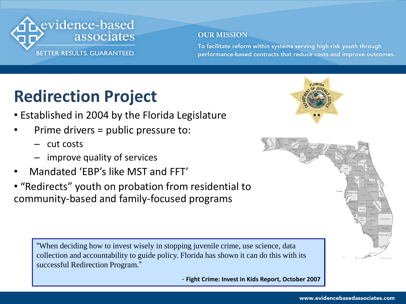

To facilitate reform within systems serving high-risk youth through performance-based contracts that reduce costs and improve outcomes.

### **Redirection Project**

- Established in 2004 by the Florida Legislature
- Prime drivers = public pressure to:
	- cut costs
	- improve quality of services
- Mandated 'EBP's like MST and FFT'
- "Redirects" youth on probation from residential to community-based and family-focused programs

"When deciding how to invest wisely in stopping juvenile crime, use science, data collection and accountability to guide policy. Florida has shown it can do this with its successful Redirection Program."

- **Fight Crime: Invest in Kids Report, October 2007**



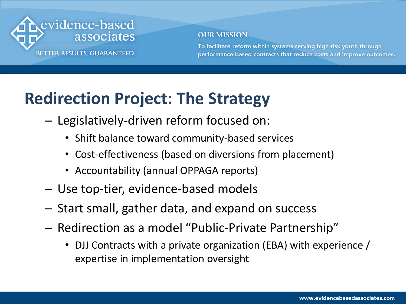

To facilitate reform within systems serving high-risk youth through performance-based contracts that reduce costs and improve outcomes.

### **Redirection Project: The Strategy**

- Legislatively-driven reform focused on:
	- Shift balance toward community-based services
	- Cost-effectiveness (based on diversions from placement)
	- Accountability (annual OPPAGA reports)
- Use top-tier, evidence-based models
- Start small, gather data, and expand on success
- Redirection as a model "Public-Private Partnership"
	- DJJ Contracts with a private organization (EBA) with experience / expertise in implementation oversight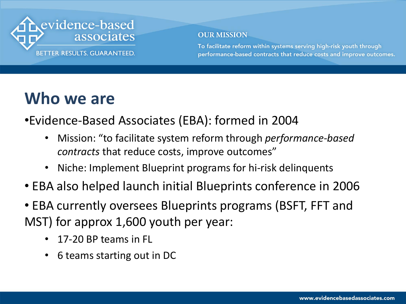

To facilitate reform within systems serving high-risk youth through performance-based contracts that reduce costs and improve outcomes.

### **Who we are**

•Evidence-Based Associates (EBA): formed in 2004

- Mission: "to facilitate system reform through *performance-based contracts* that reduce costs, improve outcomes"
- Niche: Implement Blueprint programs for hi-risk delinquents
- EBA also helped launch initial Blueprints conference in 2006
- EBA currently oversees Blueprints programs (BSFT, FFT and MST) for approx 1,600 youth per year:
	- 17-20 BP teams in FL
	- 6 teams starting out in DC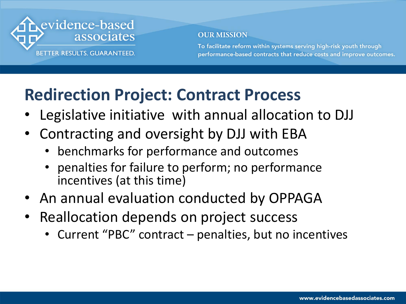

To facilitate reform within systems serving high-risk youth through performance-based contracts that reduce costs and improve outcomes.

### **Redirection Project: Contract Process**

- Legislative initiative with annual allocation to DJJ
- Contracting and oversight by DJJ with EBA
	- benchmarks for performance and outcomes
	- penalties for failure to perform; no performance incentives (at this time)
- An annual evaluation conducted by OPPAGA
- Reallocation depends on project success
	- Current "PBC" contract  $-$  penalties, but no incentives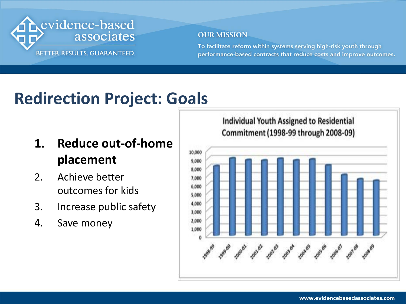

To facilitate reform within systems serving high-risk youth through performance-based contracts that reduce costs and improve outcomes.

### **Redirection Project: Goals**

- **1. Reduce out-of-home placement**
- 2. Achieve better outcomes for kids
- 3. Increase public safety
- 4. Save money

**Individual Youth Assigned to Residential** Commitment (1998-99 through 2008-09)

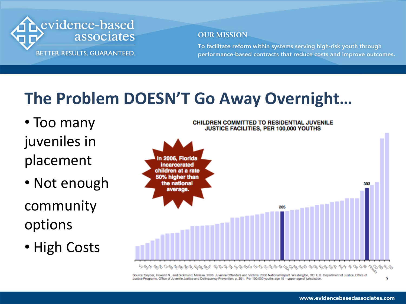

To facilitate reform within systems serving high-risk youth through performance-based contracts that reduce costs and improve outcomes.

### **The Problem DOESN'T Go Away Overnight…**

- Too many juveniles in placement
- Not enough community options
- High Costs



Justice Programs, Office of Juvenile Justice and Delinquency Prevention, p. 201. Per 100,000 youths age 10 - upper age of jurisdiction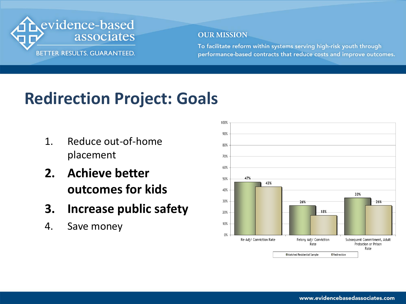

To facilitate reform within systems serving high-risk youth through performance-based contracts that reduce costs and improve outcomes.

### **Redirection Project: Goals**

- 1. Reduce out-of-home placement
- **2. Achieve better outcomes for kids**
- **3. Increase public safety**
- 4. Save money

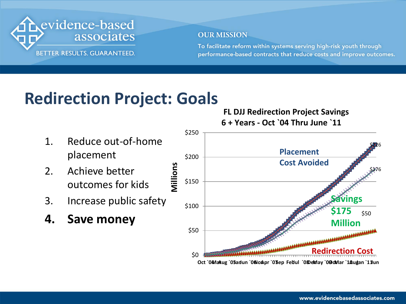

To facilitate reform within systems serving high-risk youth through performance-based contracts that reduce costs and improve outcomes.

### **Redirection Project: Goals**

**Millions**

- 1. Reduce out-of-home placement
- 2. Achieve better outcomes for kids
- 3. Increase public safety
- **4. Save money**

 **FL DJJ Redirection Project Savings 6 + Years - Oct `04 Thru June `11**

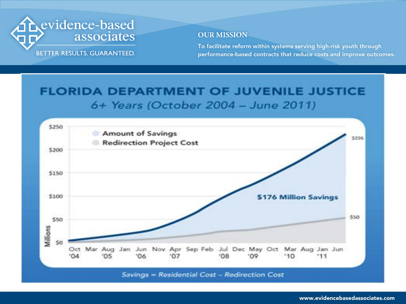

To facilitate reform within systems serving high-risk youth through performance-based contracts that reduce costs and improve outcomes.

#### **FLORIDA DEPARTMENT OF JUVENILE JUSTICE** 6+ Years (October 2004 - June 2011)

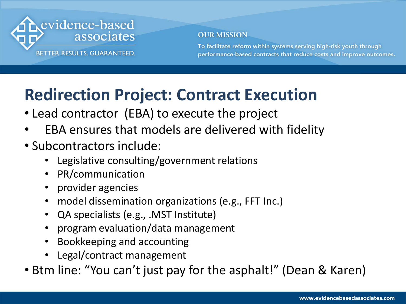

To facilitate reform within systems serving high-risk youth through performance-based contracts that reduce costs and improve outcomes.

### **Redirection Project: Contract Execution**

- Lead contractor (EBA) to execute the project
- EBA ensures that models are delivered with fidelity
- Subcontractors include:
	- Legislative consulting/government relations
	- PR/communication
	- provider agencies
	- model dissemination organizations (e.g., FFT Inc.)
	- QA specialists (e.g., .MST Institute)
	- program evaluation/data management
	- Bookkeeping and accounting
	- Legal/contract management
- Btm line: "You can't just pay for the asphalt!" (Dean & Karen)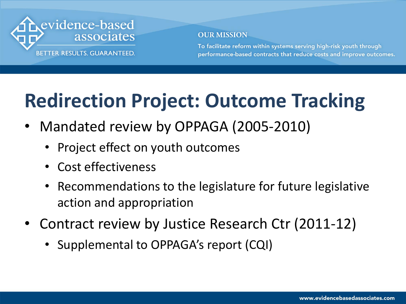

To facilitate reform within systems serving high-risk youth through performance-based contracts that reduce costs and improve outcomes.

### **Redirection Project: Outcome Tracking**

- Mandated review by OPPAGA (2005-2010)
	- Project effect on youth outcomes
	- Cost effectiveness
	- Recommendations to the legislature for future legislative action and appropriation
- Contract review by Justice Research Ctr (2011-12)
	- Supplemental to OPPAGA's report (CQI)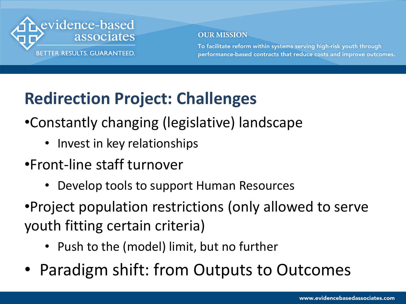

To facilitate reform within systems serving high-risk youth through performance-based contracts that reduce costs and improve outcomes.

### **Redirection Project: Challenges**

- •Constantly changing (legislative) landscape
	- Invest in key relationships
- •Front-line staff turnover
	- Develop tools to support Human Resources
- •Project population restrictions (only allowed to serve youth fitting certain criteria)
	- Push to the (model) limit, but no further
- Paradigm shift: from Outputs to Outcomes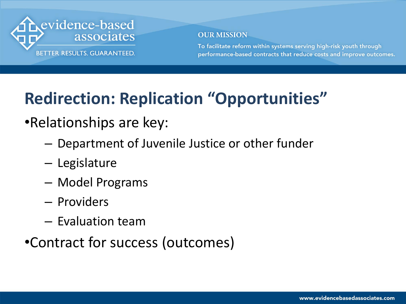

To facilitate reform within systems serving high-risk youth through performance-based contracts that reduce costs and improve outcomes.

### **Redirection: Replication "Opportunities"**

### •Relationships are key:

- Department of Juvenile Justice or other funder
- Legislature
- Model Programs
- Providers
- Evaluation team

### •Contract for success (outcomes)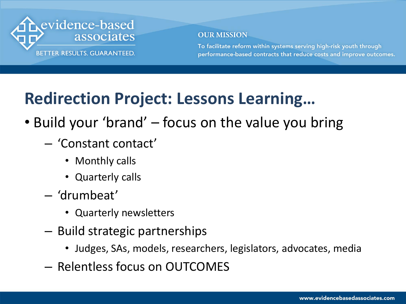

To facilitate reform within systems serving high-risk youth through performance-based contracts that reduce costs and improve outcomes.

### **Redirection Project: Lessons Learning…**

- Build your 'brand' focus on the value you bring
	- 'Constant contact'
		- Monthly calls
		- Quarterly calls
	- 'drumbeat'
		- Quarterly newsletters
	- Build strategic partnerships
		- Judges, SAs, models, researchers, legislators, advocates, media
	- Relentless focus on OUTCOMES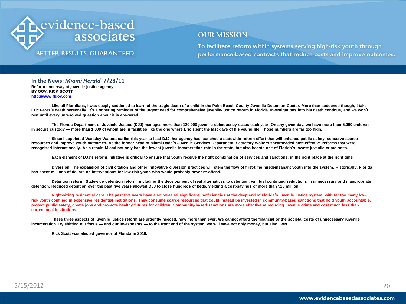

#### **BETTER RESULTS, GUARANTEED.**

#### **OUR MISSION**

To facilitate reform within systems serving high-risk youth through performance-based contracts that reduce costs and improve outcomes.

**In the News:** *Miami Herald* **7/28/11 Reform underway at juvenile justice agency BY GOV. RICK SCOTT [http://www.flgov.com](http://www.flgov.com/)**

Like all Floridians, I was deeply saddened to learn of the tragic death of a child in the Palm Beach County Juvenile Detention Center. More than saddened though, I take Eric Perez's death personally. It's a sobering reminder of the urgent need for comprehensive juvenile-justice reform in Florida. Investigations into his death continue, and we won't **rest until every unresolved question about it is answered.**

**The Florida Department of Juvenile Justice (DJJ) manages more than 120,000 juvenile delinquency cases each year. On any given day, we have more than 5,000 children in secure custody — more than 1,000 of whom are in facilities like the one where Eric spent the last days of his young life. Those numbers are far too high.**

**Since I appointed Wansley Walters earlier this year to lead DJJ, her agency has launched a statewide reform effort that will enhance public safety, conserve scarce resources and improve youth outcomes. As the former head of Miami-Dade's Juvenile Services Department, Secretary Walters spearheaded cost-effective reforms that were recognized internationally. As a result, Miami not only has the lowest juvenile incarceration rate in the state, but also boasts one of Florida's lowest juvenile crime rates.** 

**Each element of DJJ's reform initiative is critical to ensure that youth receive the right combination of services and sanctions, in the right place at the right time.**

**Diversion. The expansion of civil citation and other innovative diversion practices will stem the flow of first-time misdemeanant youth into the system. Historically, Florida has spent millions of dollars on interventions for low-risk youth who would probably never re-offend.**

**Detention reform. Statewide detention reform, including the development of real alternatives to detention, will fuel continued reductions in unnecessary and inappropriate detention. Reduced detention over the past five years allowed DJJ to close hundreds of beds, yielding a cost-savings of more than \$25 million.** 

**Right-sizing residential care. The past five years have also revealed significant inefficiencies at the deep end of Florida's juvenile justice system, with far too many lowrisk youth confined in expensive residential institutions. They consume scarce resources that could instead be invested in community-based sanctions that hold youth accountable, protect public safety, create jobs and promote healthy futures for children. Community-based sanctions are more effective at reducing juvenile crime and cost much less than correctional institutions.** 

**These three aspects of juvenile justice reform are urgently needed, now more than ever. We cannot afford the financial or the societal costs of unnecessary juvenile incarceration. By shifting our focus — and our investments — to the front end of the system, we will save not only money, but also lives.**

**Rick Scott was elected governor of Florida in 2010.**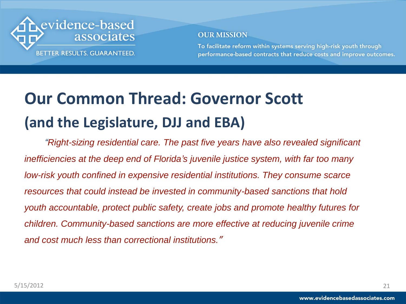

To facilitate reform within systems serving high-risk youth through performance-based contracts that reduce costs and improve outcomes.

### **Our Common Thread: Governor Scott (and the Legislature, DJJ and EBA)**

*"Right-sizing residential care. The past five years have also revealed significant inefficiencies at the deep end of Florida's juvenile justice system, with far too many low-risk youth confined in expensive residential institutions. They consume scarce resources that could instead be invested in community-based sanctions that hold youth accountable, protect public safety, create jobs and promote healthy futures for children. Community-based sanctions are more effective at reducing juvenile crime and cost much less than correctional institutions."*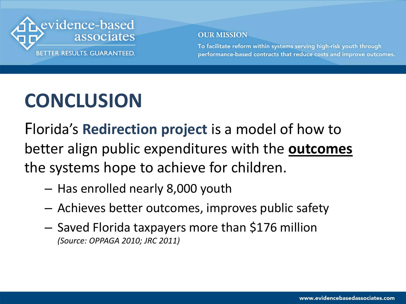

To facilitate reform within systems serving high-risk youth through performance-based contracts that reduce costs and improve outcomes.

### **CONCLUSION**

Florida's **Redirection project** is a model of how to better align public expenditures with the **outcomes** the systems hope to achieve for children.

- Has enrolled nearly 8,000 youth
- Achieves better outcomes, improves public safety
- Saved Florida taxpayers more than \$176 million *(Source: OPPAGA 2010; JRC 2011)*